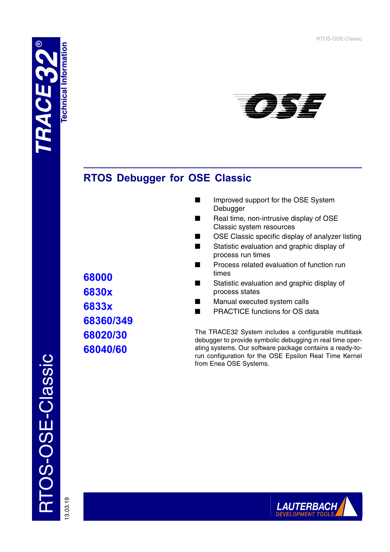# **Technical Information Technical Information**



# **RTOS Debugger for OSE Classic**

- Improved support for the OSE System Debugger
- Real time, non-intrusive display of OSE Classic system resources
- OSE Classic specific display of analyzer listing
- Statistic evaluation and graphic display of process run times
- Process related evaluation of function run times
- Statistic evaluation and graphic display of process states
- Manual executed system calls
- PRACTICE functions for OS data

The TRACE32 System includes a configurable multitask debugger to provide symbolic debugging in real time operating systems. Our software package contains a ready-torun configuration for the OSE Epsilon Real Time Kernel from Enea OSE Systems.

13.03.19



**68000 6830x 6833x 68360/349 68020/30 68040/60**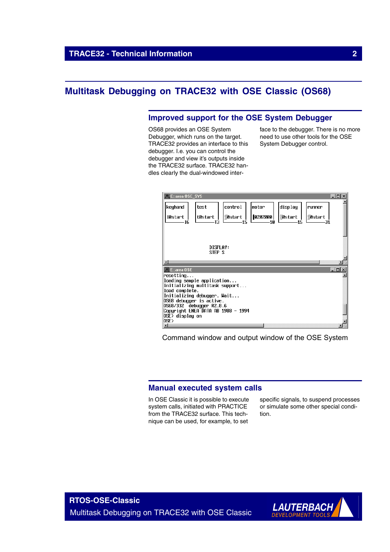## **Multitask Debugging on TRACE32 with OSE Classic (OS68)**

## **Improved support for the OSE System Debugger**

OS68 provides an OSE System Debugger, which runs on the target. TRACE32 provides an interface to this debugger. I.e. you can control the debugger and view it's outputs inside the TRACE32 surface. TRACE32 handles clearly the dual-windowed interface to the debugger. There is no more need to use other tools for the OSE System Debugger control.

| ■ E::area OSE_SYS                                     |                 |         |         |               | $ \Box$ $\times$ |  |
|-------------------------------------------------------|-----------------|---------|---------|---------------|------------------|--|
| keyhand<br>test                                       | control         | motor   | display | runner        |                  |  |
| tØstart<br>i0start                                    | ∣ <b>须start</b> | 0202000 | 须start  | <b>须start</b> |                  |  |
| Īĥ                                                    |                 | 10      |         |               |                  |  |
|                                                       |                 |         |         |               |                  |  |
| DISPLAY:                                              |                 |         |         |               |                  |  |
| STEP S                                                |                 |         |         |               |                  |  |
|                                                       |                 |         |         |               |                  |  |
| $\Box$ E:: area OSE                                   |                 |         |         |               | $\Box$           |  |
| resetting                                             |                 |         |         |               |                  |  |
| loading sample application                            |                 |         |         |               |                  |  |
| initializing multitask support<br>load complete.      |                 |         |         |               |                  |  |
| Initializing debugger. Wait                           |                 |         |         |               |                  |  |
| OS68 debugger is active.                              |                 |         |         |               |                  |  |
| 0S68/332 debugger R2.8.6                              |                 |         |         |               |                  |  |
| Copyright ENEA DATA AB 1988 - 1994<br>OSE> display on |                 |         |         |               |                  |  |
| 0SE>                                                  |                 |         |         |               |                  |  |
|                                                       |                 |         |         |               |                  |  |

Command window and output window of the OSE System

## **Manual executed system calls**

In OSE Classic it is possible to execute system calls, initiated with PRACTICE from the TRACE32 surface. This technique can be used, for example, to set

specific signals, to suspend processes or simulate some other special condition.

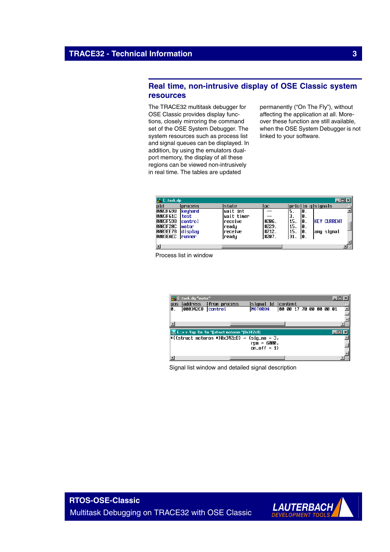## **Real time, non-intrusive display of OSE Classic system resources**

The TRACE32 multitask debugger for OSE Classic provides display functions, closely mirroring the command set of the OSE System Debugger. The system resources such as process list and signal queues can be displayed. In addition, by using the emulators dualport memory, the display of all these regions can be viewed non-intrusively in real time. The tables are updated

permanently ("On The Fly"), without affecting the application at all. Moreover these function are still available, when the OSE System Debugger is not linked to your software.

| <b>A.</b> Entask.dp |                |                 |        |     |     |                    |  |
|---------------------|----------------|-----------------|--------|-----|-----|--------------------|--|
| pid                 | ¦process       | Istate          | ¦pc    |     |     | ¦prio¦in q¦siqnals |  |
| 0003F698            | <b>keuhand</b> | lwait int       |        | э.  | 10. |                    |  |
| <b>0003F61C</b>     | test           | wait timer      |        | З.  | 10. |                    |  |
| 0003F598            | control        | <b>Ireceive</b> | #206.  | 15. | 10. | ikfy Currfnt       |  |
| <b>0003F20C</b>     | Imotor         | readu           | #229.  | 15. | 10. |                    |  |
| 0003EE78            | display        | Ireceive        | #212.  | 15. | 10. | anu siqnal         |  |
| 0003EAEC Irunner    |                | ready           | 1#207. | 31. | IØ. |                    |  |
|                     |                |                 |        |     |     |                    |  |
|                     |                |                 |        |     |     |                    |  |

Process list in window

|    | <b>C.</b> E::task.dq "motor" |                                                                                                                        |                                             |                         |  |  |  |
|----|------------------------------|------------------------------------------------------------------------------------------------------------------------|---------------------------------------------|-------------------------|--|--|--|
|    |                              | pos laddress Ifrom process                                                                                             | Isignal id Icontent                         |                         |  |  |  |
| Ø. | <b>000342C8 control</b>      |                                                                                                                        | <b>MOTORON</b>                              | 00 00 17 70 00 00 00 01 |  |  |  |
|    |                              |                                                                                                                        |                                             |                         |  |  |  |
|    |                              |                                                                                                                        |                                             |                         |  |  |  |
|    |                              |                                                                                                                        |                                             |                         |  |  |  |
|    |                              | <b>External External Section</b> 2 and Section 2 and Section 2 and Section 2 and Section 2 and Section 2 and Section 2 |                                             |                         |  |  |  |
|    |                              |                                                                                                                        | *((struct motoron *)0x342c8) = (sig_no = 3, |                         |  |  |  |
|    |                              |                                                                                                                        | rpm = 6000,                                 |                         |  |  |  |
|    |                              |                                                                                                                        | $on$ of $f = 1$ )                           |                         |  |  |  |
|    |                              |                                                                                                                        |                                             |                         |  |  |  |
|    |                              |                                                                                                                        |                                             |                         |  |  |  |

Signal list window and detailed signal description

**RTOS-OSE-Classic** Multitask Debugging on TRACE32 with OSE Classic

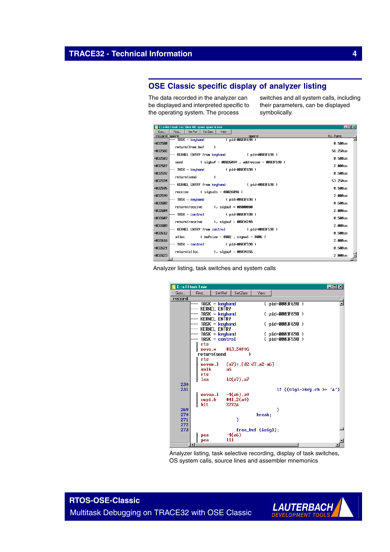## **OSE Classic specific display of analyzer listing**

The data recorded in the analyzer can be displayed and interpreted specific to the operating system. The process

switches and all system calls, including their parameters, can be displayed symbolically.

|              | E::a.list I.task I.nc %len 40. spare spare ti.fore                                             | <b>EDX</b>       |
|--------------|------------------------------------------------------------------------------------------------|------------------|
| Goto         | Set Ref<br>Set Zero<br>Find<br>View                                                            |                  |
| record spare | spare                                                                                          | ti.fore          |
| +032580      | ( pid=0003F698 )<br>-- TASK = keyhand<br>return(free_buf<br>$\lambda$                          | 0.500us          |
| +032582      |                                                                                                | 56.250us         |
| +032583      | - KERNEL ENTRY from keyhand ( pid=0003F698 )<br>send (sigbuf = 000260A4, addressee = 0003F598) | 0.500us          |
| +032587      |                                                                                                | 2.000us          |
| +032592      | -- TASK = keuhand                 ( pid=0003F698 )<br>return(send<br>$\lambda$                 | <b>0.500us</b>   |
| +032594      |                                                                                                | 53.25 <b>Pus</b> |
| +032595      | -- KERNEL ENTRY from keyhand       ( pid=0003F698 )<br>$receive$ (signals = 0002609A)          | 0.500us          |
| +032599      | - TASK = keyhand               ( pid=0003F698 )                                                | 2.000us          |
| +032602      | return(receive ), sigbuf = 00000000                                                            | <b>A. 500us</b>  |
| +032604      | - TASK = control             ( pid=0003F598 )                                                  | 2.000us          |
| +032607      | $return(receive)$ , sigbuf = 00034248                                                          | <b>0.500us</b>   |
| +032609      | - KERNEL ENTRY from control (pid=0003F598)                                                     | 2.000us          |
| +032612      | alloc $($ bufsize = 0002 , signal = 0006 )                                                     | 0.500us          |
| +032616      | – TASK = control<br>( pid=0003F598 )                                                           | 2.000us          |
| +032621      |                                                                                                | 0.500us          |
| +032623      | $return (allow)$ , $signupf = 00034266$                                                        | 2.000us          |





Analyzer listing, task selective recording, display of task switches, OS system calls, source lines and assembler mnemonics

**RTOS-OSE-Classic** Multitask Debugging on TRACE32 with OSE Classic

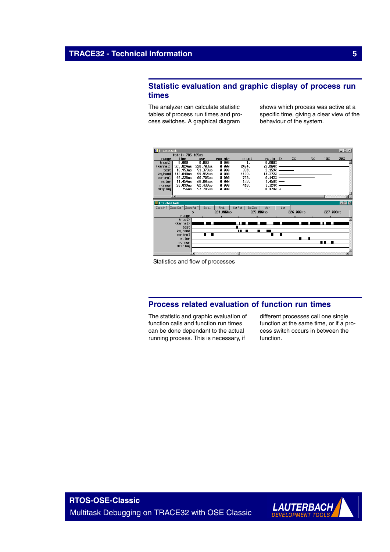## **Statistic evaluation and graphic display of process run times**

The analyzer can calculate statistic tables of process run times and process switches. A graphical diagram

shows which process was active at a specific time, giving a clear view of the behaviour of the system.



Statistics and flow of processes

## **Process related evaluation of function run times**

The statistic and graphic evaluation of function calls and function run times can be done dependant to the actual running process. This is necessary, if

different processes call one single function at the same time, or if a process switch occurs in between the function.

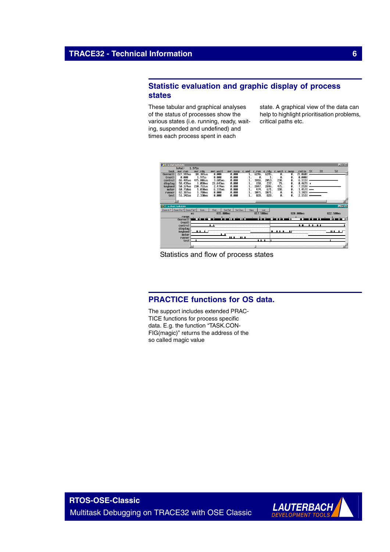## **Statistic evaluation and graphic display of process states**

These tabular and graphical analyses of the status of processes show the various states (i.e. running, ready, waiting, suspended and undefined) and times each process spent in each

state. A graphical view of the data can help to highlight prioritisation problems, critical paths etc.



Statistics and flow of process states

## **PRACTICE functions for OS data.**

The support includes extended PRAC-TICE functions for process specific data. E.g. the function "TASK.CON-FIG(magic)" returns the address of the so called magic value

**RTOS-OSE-Classic** Multitask Debugging on TRACE32 with OSE Classic

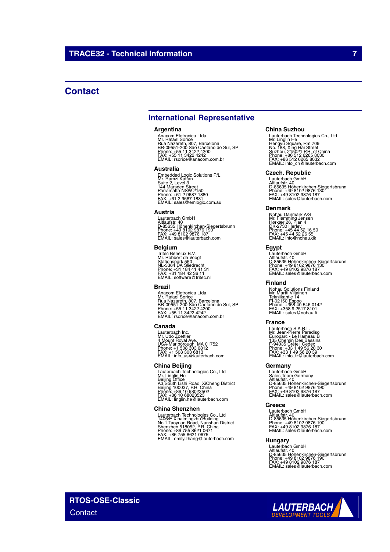## **Contact**

## **International Representative**

#### **Argentina**

Anacom Eletronica Ltda.<br>Mr. Rafael Sorice<br>Rua Nazareth, 807, Barcelona<br>BR-09551-200 São Caetano do Sul, SP<br>Phone: +55 11 3422 4242<br>FAX: +55 11 3422 4242<br>EMAIL: rsorice@anacom.com.br

#### **Australia**

Embedded Logic Solutions P/L<br>Mr. Ramzi Kattan<br>Suite 2, Level 3<br>Parramatta NSW 2150<br>Parramatta NSW 2150<br>Phone: +61 2 9687 1880<br>FMAIL: sales@emlogic.com.au

#### **Austria**

Lauterbach GmbH<br>Altlaufstr. 40<br>D-85635 Höhenkirchen-Siegertsbrunn<br>Phone: +49 8102 9876 187<br>FAX: +49 8102 9876 187<br>EMAIL: sales@lauterbach.com

#### **Belgium**

Tritec Benelux B.V. Mr. Robbert de Voogt Stationspark 550 NL-3364 DA Sliedrecht Phone: +31 184 41 41 31 FAX: +31 184 42 36 11 EMAIL: software@tritec.nl

#### **Brazil**

Anacom Eletronica Ltda.<br>Mr. Rafael Sorice<br>Rua Nazareth, 807, Barcelona<br>BR-09551-200 São Caetano do Sul, SP<br>Phone: +55 11 3422 4242<br>FAX: +55 11 3422 4242<br>EMAIL: rsorice@anacom.com.br

#### **Canada**

Lauterbach Inc. Mr. Udo Zoettler 4 Mount Royal Ave. USA-Marlborough, MA 01752 Phone: +1 508 303 6812 FAX: +1 508 303 6813 EMAIL: info\_us@lauterbach.com

#### **China Beijing**

Lauterbach Technologies Co., Ltd<br>Mr. Linglin He<br>Beijing Office<br>A3,South Lishi Road, XiCheng District<br>Beijing 100037, P.R. China<br>Phone: +86 10 68023523<br>EMAIL: linglin.he@lauterbach.com

#### **China Shenzhen**

Lauterbach Technologies Co., Ltd<br>1406/E Xihaimingzhu Building<br>No.1 Taoyuan Road, Nanshan District<br>Shenzhen 518052, P.R. China<br>Phone: +86 755 8621 0675<br>FAX: +86 755 8621 0675<br>EMAIL: emily.zhang@lauterbach.com

#### **China Suzhou**

Lauterbach Technologies Co., Ltd<br>Mr. Linglin He<br>Hengyu Square, Rm 709<br>Suzhou, 215021 P.R. of China<br>Suzhou, 215021 P.R. of China<br>Phone: +86 512 6265 8030<br>FMAIL: info\_cn@lauterbach.com

#### **Czech. Republic**

Lauterbach GmbH<br>Altlaufstr. 40<br>D-85635 Höhenkirchen-Siegertsbrunn<br>Phone: +49 8102 9876 187<br>FAX: +49 8102 9876 187<br>EMAIL: sales@lauterbach.com

#### **Denmark**

Nohau Danmark A/S<br>Mr. Flemming Jensen<br>Hørkær 26, Plan 4<br>DK-2730 Herlev<br>Phone: +45 44 52 16 50<br>FAX: +45 44 52 26 55<br>EMAIL: info@nohau.dk

#### **Egypt**

Lauterbach GmbH<br>Altlaufstr. 40<br>D-85635 Höhenkirchen-Siegertsbrunn<br>Phone: +49 8102 9876 187<br>FAX: +49 8102 9876 187<br>EMAIL: sales@lauterbach.com

#### **Finland**

Nohau Solutions Finland Mr. Martti Viljainen Tekniikantie 14 FI-02150 Espoo Phone: +358 40 546 0142 FAX: +358 9 2517 8101 EMAIL: sales@nohau.fi

#### **France**

Lauterbach S.A.R.L.<br>Mr. Jean-Pierre Paradiso<br>Europarc - Le Hameau B<br>135 Chemin Des Bassins<br>F-94035 Créteil Cedex<br>Phone: +33 1 49 56 20 30<br>EMAIL: info\_fr@lauterbach.com<br>EMAIL: info\_fr@lauterbach.com

#### **Germany**

Lauterbach GmbH<br>Sales Team Germany<br>Altlaufstr. 40<br>D-85635 Höhenkirchen-Siegertsbrunn<br>Phone: +49 8102 9876 187<br>FAX: +49 8102 9876 187<br>EMAIL: sales@lauterbach.com

#### **Greece**

Lauterbach GmbH Altlaufstr. 40 D-85635 Höhenkirchen-Siegertsbrunn Phone: +49 8102 9876 190 FAX: +49 8102 9876 187 EMAIL: sales@lauterbach.com

#### **Hungary**

Lauterbach GmbH<br>Altlaufstr. 40<br>D-85635 Höhenkirchen-Siegertsbrunn<br>Phone: +49 8102 9876 187<br>FAX: +49 8102 9876 187<br>EMAIL: sales@lauterbach.com

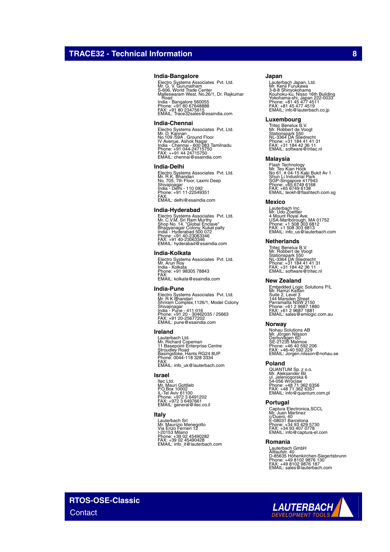#### **India-Bangalore**

Electro Systems Associates Pvt. Ltd.<br>Mr. G. V. Gurunatham<br>Malleswaram West, No.26/1, Dr. Rajkumar<br>Malleswaram West, No.26/1, Dr. Rajkumar<br>. Road India - Bangalore 560055 Phone: +91 80 67648888 FAX: +91 80 23475615 EMAIL: Trace32sales@esaindia.com

#### **India-Chennai**

Electro Systems Associates Pvt. Ltd.<br>Mr. D. Kannan<br>IV Avenue, Ashok Nagar<br>India - Chennai - 600 083 Tamilnadu<br>India - Chennai - 600 083 Tamilnadu<br>Phone: +91 044-24715750<br>EMAIL: chennai@esaindia.com

#### **India-Delhi**

Electro Systems Associates Pvt. Ltd.<br>Mr. R.K. Bhandari<br>Shivajinagar<br>Shivajinagar<br>India - Delhi - 110 092<br>Phone: +91 11-22549351<br>FMAIL: delhi@esaindia.com

#### **India-Hyderabad**

Electro Systems Associates Pvt. Ltd.<br>Mr. C.V.M. Sri Ram Murthy<br>Shop No. 14, "Global Enclave"<br>India - Hyderabad 500 072<br>India - Hyderabad 500 072<br>Phone: +91 40-23063346<br>EMAIL: hyderabad@esaindia.com

#### **India-Kolkata**

Electro Systems Associates Pvt. Ltd. Mr. Arun Roy India - Kolkata Phone: +91 98305 78843 FAX: EMAIL: kolkata@esaindia.com

#### **India-Pune**

Electro Systems Associates Pvt. Ltd.<br>Mr. R K Bhandari<br>Shrivajinagar<br>Shivajinagar<br>India - Pune - 411 016<br>Phone: +91 20 - 30462035 / 25663<br>PAX: +91 20 -25677202<br>EMAIL: pune@esaindia.com

#### **Ireland**

Lauterbach Ltd. Mr. Richard Copeman 11 Basepoint Enterprise Centre Stroudley Road Basingstoke, Hants RG24 8UP Phone: 0044-118 328 3334 FAX: EMAIL: info\_uk@lauterbach.com

#### **Israel**

ltec Ltd.<br>Mr. Mauri Gottlieb<br>P.O.Box 10002<br>IL-Tel Aviv 61100<br>Phone: +972 3 6497661<br>FMAIL: general@itec.co.il

#### **Italy**

Lauterbach Srl Mr. Maurizio Menegotto Via Enzo Ferrieri 12 I-20153 Milano Phone: +39 02 45490282 FAX: +39 02 45490428 EMAIL: info\_it@lauterbach.com

#### **Japan**

Lauterbach Japan, Ltd.<br>3-8-8 Shinyokohama<br>X-8-8 Shinyokohama<br>Yokohama-shi, Japan 222-0033<br>Yokohama-shi, Japan 222-0033<br>Phone: +81 45 477 4519<br>EMAIL: info@lauterbach.co.jp

#### **Luxembourg**

Tritec Benelux B.V. Mr. Robbert de Voogt Stationspark 550 NL-3364 DA Sliedrecht Phone: +31 184 41 41 31 FAX: +31 184 42 36 11 EMAIL: software@tritec.nl

#### **Malaysia**

Flash Technology<br>Mr. Teo Kian Hock<br>No 61, # 04-15 Kaki Bukit Av 1<br>Shun Li Industrial Park<br>SGP-Singapore 417943<br>Phone: +65 6749 6138<br>PMAIL: teokh@flashtech.com.sg<br>EMAIL: teokh@flashtech.com.sg

#### **Mexico**

Lauterbach Inc. Mr. Udo Zoettler 4 Mount Royal Ave. USA-Marlborough, MA 01752 Phone: +1 508 303 6812 FAX: +1 508 303 6813 EMAIL: info\_us@lauterbach.com

#### **Netherlands**

Tritec Benelux B.V. Mr. Robbert de Voogt Stationspark 550 NL-3364 DA Sliedrecht Phone: +31 184 41 41 31 FAX: +31 184 42 36 11 EMAIL: software@tritec.nl

#### **New Zealand**

Embedded Logic Solutions P/L<br>Mr. Ramzi Kattan<br>Suite 2, Level 3<br>Parramatta NSW 2150<br>Parramatta NSW 2150<br>Phone: +61 2 9687 1880<br>Phone: +61 2 9687 1881<br>EMAIL: sales@emlogic.com.au

#### **Norway**

Nohau Solutions AB<br>Mr. Jörgen Nilsson<br>Derbyvägen 6D<br>SE-21235 Malmoe<br>Phone: +46 40 592 2206<br>FAX: +46-40 592 229<br>EMAIL: Jorgen.nilsson@nohau.se

#### **Poland**

QUANTUM Sp. z o.o.<br>Mr. Aleksander Bil<br>ul. Jeleniogorska 6<br>54-056 Wroclaw<br>Phone: +48 71 362 6357<br>FAX: +48 71 362 6357<br>EMAIL: info@quantum.com.pl

#### **Portugal**

Captura Electronica,SCCL<br>Mr. Juan Martinez<br>c/Duero, 40<br>E-08031 Barcelona<br>Phone: +34 93 407 0778<br>FAX: +34 93 407 0778<br>EMAIL: info@captura-el.com

#### **Romania**

Lauterbach GmbH<br>Altlaufstr. 40<br>D-85635 Höhenkirchen-Siegertsbrunn<br>Phone: +49 8102 9876 187<br>FAX: +49 8102 9876 187<br>EMAIL: sales@lauterbach.com

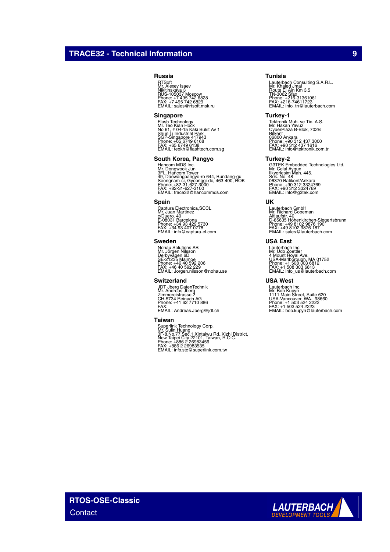## **TRACE32 - Technical Information 9**

#### **Russia**

RTSoft Mr. Alexey Isaev Nikitinskaya 3 RUS-105037 Moscow Phone: +7 495 742 6828 FAX: +7 495 742 6829 EMAIL: sales@rtsoft.msk.ru

#### **Singapore**

Flash Technology<br>Mr. Teo Kian Hock<br>No 61, # 04-15 Kaki Bukit Av 1<br>Shun Li Industrial Park<br>SGP-Singapore 417943<br>Phone: +65 6749 6138<br>FMAIL: teokh@flashtech.com.sg<br>EMAIL: teokh@flashtech.com.sg

#### **South Korea, Pangyo**

Hancom MDS Inc.<br>Mr. Dongwook Jun<br>3FL. Hancom Tower<br>Seongnam-si, Gyeonggi-do, 463-400, ROK<br>Seongnam-si, Gyeonggi-do, 463-400, ROK<br>Phone: +82-31-627-3100<br>EMAIL: trace32@hancommds.com

#### **Spain**

Captura Electronica,SCCL Mr. Juan Martinez c/Duero, 40 E-08031 Barcelona Phone: +34 93 429 5730 FAX: +34 93 407 0778 EMAIL: info@captura-el.com

#### **Sweden**

Nohau Solutions AB<br>Mr. Jörgen Nilsson<br>Derbyvägen 6D<br>SE-21235 Malmoe<br>Phone: +46 40 592 2206<br>FAX: +46 40 592 229<br>EMAIL: Jorgen.nilsson@nohau.se

#### **Switzerland**

JDT Jberg DatenTechnik Mr. Andreas Jberg Zimmereistrasse 2 CH-5734 Reinach AG Phone: +41 62 7710 886 FAX: EMAIL: Andreas.Jberg@jdt.ch

#### **Taiwan**

Superlink Technology Corp.<br>Mr. Sulin Huang<br>3F-8,No.77,Sec.1,Xintaiwu Rd.,Xizhi District,<br>New Taipei City 22101, Taiwan, R.O.C.<br>Phone: +886 2 26983535<br>FAX: +886 2 26983535<br>EMAIL: info.stc@superlink.com.tw

#### **Tunisia**

Lauterbach Consulting S.A.R.L.<br>Mr. Khaled Jmal<br>Route El Ain Km 3.5<br>TN-3062 Sfax<br>Phone: +216-31361061<br>FMX: -216-74611723<br>EMAIL: info\_tn@lauterbach.com

#### **Turkey-1**

Tektronik Muh. ve Tic. A.S.<br>Mr. Hakan Yavuz<br>Bilkent<br>CyberPlaza B-Blok, 702B<br>06800 Ankara<br>Phone: +90 312 437 3000<br>Phone: +90 312 437 1616<br>EMAIL: info@tektronik.com.tr

#### **Turkey-2**

G3TEK Embedded Technologies Ltd. Mr. Celal Aygun Ilkyerlesim Mah. 445. Sok. No: 48 06370 Batikent/Ankara Phone: +90 312 3324769 FAX: +90 312 3324769 EMAIL: info@g3tek.com

#### **UK**

Lauterbach GmbH Mr. Richard Copeman Altlaufstr. 40 D-85635 Höhenkirchen-Siegertsbrunn Phone: +49 8102 9876 190 FAX: +49 8102 9876 187 EMAIL: sales@lauterbach.com

#### **USA East**

Lauterbach Inc. Mr. Udo Zoettler 4 Mount Royal Ave. USA-Marlborough, MA 01752 Phone: +1 508 303 6812 FAX: +1 508 303 6813 EMAIL: info\_us@lauterbach.com

#### **USA West**

Lauterbach Inc.<br>Mr. Bob Kupyn<br>1111 Main Street, Suite 620<br>USA-Vancouver, WA. 98660<br>Phone: +1 503 524 2222<br>FAX: +1 503 524 2223<br>EMAIL: bob.kupyn@lauterbach.com



**RTOS-OSE-Classic Contact**